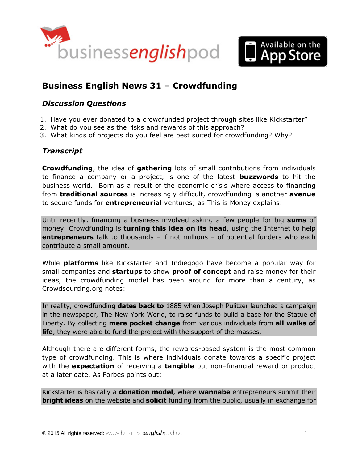



# **[Business English News 31](http://www.businessenglishpod.com/2015/01/04/business-english-news-31-crowdfunding/) – Crowdfunding**

## *Discussion Questions*

- 1. Have you ever donated to a crowdfunded project through sites like Kickstarter?
- 2. What do you see as the risks and rewards of this approach?
- 3. What kinds of projects do you feel are best suited for crowdfunding? Why?

## *Transcript*

**Crowdfunding**, the idea of **gathering** lots of small contributions from individuals to finance a company or a project, is one of the latest **buzzwords** to hit the business world. Born as a result of the economic crisis where access to financing from **traditional sources** is increasingly difficult, crowdfunding is another **avenue** to secure funds for **entrepreneurial** ventures; as This is Money explains:

Until recently, financing a business involved asking a few people for big **sums** of money. Crowdfunding is **turning this idea on its head**, using the Internet to help **entrepreneurs** talk to thousands – if not millions – of potential funders who each contribute a small amount.

While **platforms** like Kickstarter and Indiegogo have become a popular way for small companies and **startups** to show **proof of concept** and raise money for their ideas, the crowdfunding model has been around for more than a century, as Crowdsourcing.org notes:

In reality, crowdfunding **dates back to** 1885 when Joseph Pulitzer launched a campaign in the newspaper, The New York World, to raise funds to build a base for the Statue of Liberty. By collecting **mere pocket change** from various individuals from **all walks of life**, they were able to fund the project with the support of the masses.

Although there are different forms, the rewards-based system is the most common type of crowdfunding. This is where individuals donate towards a specific project with the **expectation** of receiving a **tangible** but non–financial reward or product at a later date. As Forbes points out:

Kickstarter is basically a **donation model**, where **wannabe** entrepreneurs submit their **bright ideas** on the website and **solicit** funding from the public, usually in exchange for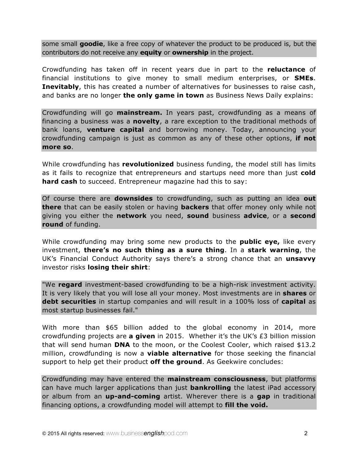some small **goodie**, like a free copy of whatever the product to be produced is, but the contributors do not receive any **equity** or **ownership** in the project.

Crowdfunding has taken off in recent years due in part to the **reluctance** of financial institutions to give money to small medium enterprises, or **SMEs**. **Inevitably**, this has created a number of alternatives for businesses to raise cash, and banks are no longer **the only game in town** as Business News Daily explains:

Crowdfunding will go **mainstream.** In years past, crowdfunding as a means of financing a business was a **novelty**, a rare exception to the traditional methods of bank loans, **venture capital** and borrowing money. Today, announcing your crowdfunding campaign is just as common as any of these other options, **if not more so**.

While crowdfunding has **revolutionized** business funding, the model still has limits as it fails to recognize that entrepreneurs and startups need more than just **cold hard cash** to succeed. Entrepreneur magazine had this to say:

Of course there are **downsides** to crowdfunding, such as putting an idea **out there** that can be easily stolen or having **backers** that offer money only while not giving you either the **network** you need, **sound** business **advice**, or a **second round** of funding.

While crowdfunding may bring some new products to the **public eye,** like every investment, **there's no such thing as a sure thing**. In a **stark warning**, the UK's Financial Conduct Authority says there's a strong chance that an **unsavvy** investor risks **losing their shirt**:

"We **regard** investment-based crowdfunding to be a high-risk investment activity. It is very likely that you will lose all your money. Most investments are in **shares** or **debt securities** in startup companies and will result in a 100% loss of **capital** as most startup businesses fail."

With more than \$65 billion added to the global economy in 2014, more crowdfunding projects are **a given** in 2015. Whether it's the UK's £3 billion mission that will send human **DNA** to the moon, or the Coolest Cooler, which raised \$13.2 million, crowdfunding is now a **viable alternative** for those seeking the financial support to help get their product **off the ground**. As Geekwire concludes:

Crowdfunding may have entered the **mainstream consciousness**, but platforms can have much larger applications than just **bankrolling** the latest iPad accessory or album from an **up-and-coming** artist. Wherever there is a **gap** in traditional financing options, a crowdfunding model will attempt to **fill the void.**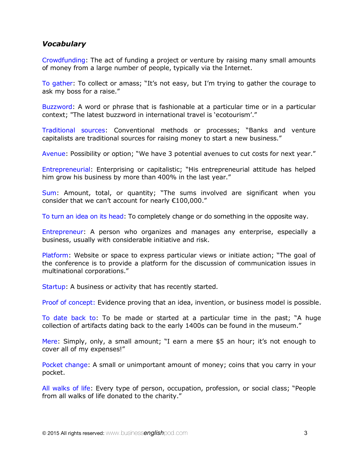#### *Vocabulary*

Crowdfunding: The act of funding a project or venture by raising many small amounts of money from a large number of people, typically via the Internet.

To gather: To collect or amass; "It's not easy, but I'm trying to gather the courage to ask my boss for a raise."

Buzzword: A word or phrase that is fashionable at a particular time or in a particular context; "The latest buzzword in international travel is 'ecotourism'."

Traditional sources: Conventional methods or processes; "Banks and venture capitalists are traditional sources for raising money to start a new business."

Avenue: Possibility or option; "We have 3 potential avenues to cut costs for next year."

Entrepreneurial: Enterprising or capitalistic; "His entrepreneurial attitude has helped him grow his business by more than 400% in the last year."

Sum: Amount, total, or quantity; "The sums involved are significant when you consider that we can't account for nearly €100,000."

To turn an idea on its head: To completely change or do something in the opposite way.

Entrepreneur: A person who organizes and manages any enterprise, especially a business, usually with considerable initiative and risk.

Platform: Website or space to express particular views or initiate action; "The goal of the conference is to provide a platform for the discussion of communication issues in multinational corporations."

Startup: A business or activity that has recently started.

Proof of concept: Evidence proving that an idea, invention, or business model is possible.

To date back to: To be made or started at a particular time in the past; "A huge collection of artifacts dating back to the early 1400s can be found in the museum."

Mere: Simply, only, a small amount; "I earn a mere \$5 an hour; it's not enough to cover all of my expenses!"

Pocket change: A small or unimportant amount of money; coins that you carry in your pocket.

All walks of life: Every type of person, occupation, profession, or social class; "People from all walks of life donated to the charity."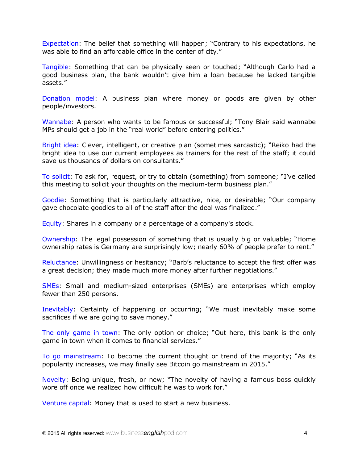Expectation: The belief that something will happen; "Contrary to his expectations, he was able to find an affordable office in the center of city."

Tangible: Something that can be physically seen or touched; "Although Carlo had a good business plan, the bank wouldn't give him a loan because he lacked tangible assets."

Donation model: A business plan where money or goods are given by other people/investors.

Wannabe: A person who wants to be famous or successful; "Tony Blair said wannabe MPs should get a job in the "real world" before entering politics."

Bright idea: Clever, intelligent, or creative plan (sometimes sarcastic); "Reiko had the bright idea to use our current employees as trainers for the rest of the staff; it could save us thousands of dollars on consultants."

To solicit: To ask for, request, or try to obtain (something) from someone; "I've called this meeting to solicit your thoughts on the medium-term business plan."

Goodie: Something that is particularly attractive, nice, or desirable; "Our company gave chocolate goodies to all of the staff after the deal was finalized."

Equity: Shares in a company or a percentage of a company's stock.

Ownership: The legal possession of something that is usually big or valuable; "Home ownership rates is Germany are surprisingly low; nearly 60% of people prefer to rent."

Reluctance: Unwillingness or hesitancy; "Barb's reluctance to accept the first offer was a great decision; they made much more money after further negotiations."

SMEs: Small and medium-sized enterprises (SMEs) are enterprises which employ fewer than 250 persons.

Inevitably: Certainty of happening or occurring; "We must inevitably make some sacrifices if we are going to save money."

The only game in town: The only option or choice; "Out here, this bank is the only game in town when it comes to financial services."

To go mainstream: To become the current thought or trend of the majority; "As its popularity increases, we may finally see Bitcoin go mainstream in 2015."

Novelty: Being unique, fresh, or new; "The novelty of having a famous boss quickly wore off once we realized how difficult he was to work for."

Venture capital: Money that is used to start a new business.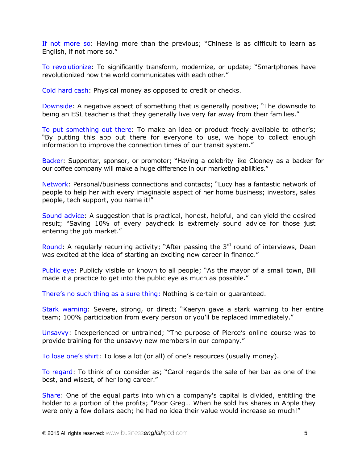If not more so: Having more than the previous; "Chinese is as difficult to learn as English, if not more so."

To revolutionize: To significantly transform, modernize, or update; "Smartphones have revolutionized how the world communicates with each other."

Cold hard cash: Physical money as opposed to credit or checks.

Downside: A negative aspect of something that is generally positive; "The downside to being an ESL teacher is that they generally live very far away from their families."

To put something out there: To make an idea or product freely available to other's; "By putting this app out there for everyone to use, we hope to collect enough information to improve the connection times of our transit system."

Backer: Supporter, sponsor, or promoter; "Having a celebrity like Clooney as a backer for our coffee company will make a huge difference in our marketing abilities."

Network: Personal/business connections and contacts; "Lucy has a fantastic network of people to help her with every imaginable aspect of her home business; investors, sales people, tech support, you name it!"

Sound advice: A suggestion that is practical, honest, helpful, and can yield the desired result; "Saving 10% of every paycheck is extremely sound advice for those just entering the job market."

Round: A regularly recurring activity; "After passing the  $3<sup>rd</sup>$  round of interviews, Dean was excited at the idea of starting an exciting new career in finance."

Public eye: Publicly visible or known to all people; "As the mayor of a small town, Bill made it a practice to get into the public eye as much as possible."

There's no such thing as a sure thing: Nothing is certain or guaranteed.

Stark warning: Severe, strong, or direct; "Kaeryn gave a stark warning to her entire team; 100% participation from every person or you'll be replaced immediately."

Unsavvy: Inexperienced or untrained; "The purpose of Pierce's online course was to provide training for the unsavvy new members in our company."

To lose one's shirt: To lose a lot (or all) of one's resources (usually money).

To regard: To think of or consider as; "Carol regards the sale of her bar as one of the best, and wisest, of her long career."

Share: One of the equal parts into which a company's capital is divided, entitling the holder to a portion of the profits; "Poor Greg… When he sold his shares in Apple they were only a few dollars each; he had no idea their value would increase so much!"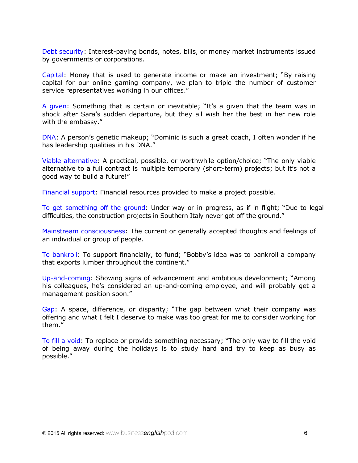Debt security: Interest-paying bonds, notes, bills, or money market instruments issued by governments or corporations.

Capital: Money that is used to generate income or make an investment; "By raising capital for our online gaming company, we plan to triple the number of customer service representatives working in our offices."

A given: Something that is certain or inevitable; "It's a given that the team was in shock after Sara's sudden departure, but they all wish her the best in her new role with the embassy."

DNA: A person's genetic makeup; "Dominic is such a great coach, I often wonder if he has leadership qualities in his DNA."

Viable alternative: A practical, possible, or worthwhile option/choice; "The only viable alternative to a full contract is multiple temporary (short-term) projects; but it's not a good way to build a future!"

Financial support: Financial resources provided to make a project possible.

To get something off the ground: Under way or in progress, as if in flight; "Due to legal difficulties, the construction projects in Southern Italy never got off the ground."

Mainstream consciousness: The current or generally accepted thoughts and feelings of an individual or group of people.

To bankroll: To support financially, to fund; "Bobby's idea was to bankroll a company that exports lumber throughout the continent."

Up-and-coming: Showing signs of advancement and ambitious development; "Among his colleagues, he's considered an up-and-coming employee, and will probably get a management position soon."

Gap: A space, difference, or disparity; "The gap between what their company was offering and what I felt I deserve to make was too great for me to consider working for them."

To fill a void: To replace or provide something necessary; "The only way to fill the void of being away during the holidays is to study hard and try to keep as busy as possible."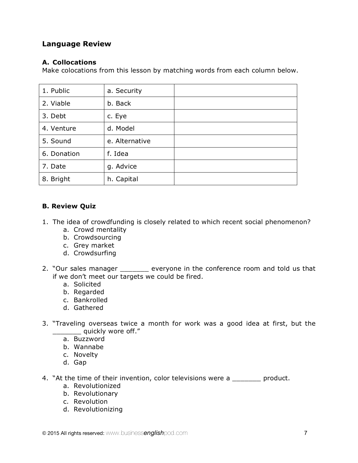## **Language Review**

#### **A. Collocations**

Make colocations from this lesson by matching words from each column below.

| 1. Public   | a. Security    |  |
|-------------|----------------|--|
| 2. Viable   | b. Back        |  |
| 3. Debt     | c. Eye         |  |
| 4. Venture  | d. Model       |  |
| 5. Sound    | e. Alternative |  |
| 6. Donation | f. Idea        |  |
| 7. Date     | g. Advice      |  |
| 8. Bright   | h. Capital     |  |

### **B. Review Quiz**

- 1. The idea of crowdfunding is closely related to which recent social phenomenon?
	- a. Crowd mentality
	- b. Crowdsourcing
	- c. Grey market
	- d. Crowdsurfing
- 2. "Our sales manager \_\_\_\_\_\_\_ everyone in the conference room and told us that if we don't meet our targets we could be fired.
	- a. Solicited
	- b. Regarded
	- c. Bankrolled
	- d. Gathered
- 3. "Traveling overseas twice a month for work was a good idea at first, but the quickly wore off."
	- a. Buzzword
	- b. Wannabe
	- c. Novelty
	- d. Gap
- 4. "At the time of their invention, color televisions were a \_\_\_\_\_\_\_ product.
	- a. Revolutionized
	- b. Revolutionary
	- c. Revolution
	- d. Revolutionizing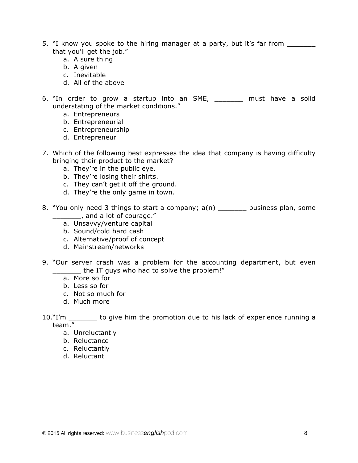- 5. "I know you spoke to the hiring manager at a party, but it's far from \_\_\_\_\_\_\_ that you'll get the job."
	- a. A sure thing
	- b. A given
	- c. Inevitable
	- d. All of the above
- 6. "In order to grow a startup into an SME, \_\_\_\_\_\_\_ must have a solid understating of the market conditions."
	- a. Entrepreneurs
	- b. Entrepreneurial
	- c. Entrepreneurship
	- d. Entrepreneur
- 7. Which of the following best expresses the idea that company is having difficulty bringing their product to the market?
	- a. They're in the public eye.
	- b. They're losing their shirts.
	- c. They can't get it off the ground.
	- d. They're the only game in town.
- 8. "You only need 3 things to start a company; a(n) \_\_\_\_\_\_\_ business plan, some \_\_\_\_\_\_\_, and a lot of courage."
	- a. Unsavvy/venture capital
	- b. Sound/cold hard cash
	- c. Alternative/proof of concept
	- d. Mainstream/networks
- 9. "Our server crash was a problem for the accounting department, but even the IT guys who had to solve the problem!"
	- a. More so for
	- b. Less so for
	- c. Not so much for
	- d. Much more
- 10."I'm \_\_\_\_\_\_\_ to give him the promotion due to his lack of experience running a team."
	- a. Unreluctantly
	- b. Reluctance
	- c. Reluctantly
	- d. Reluctant